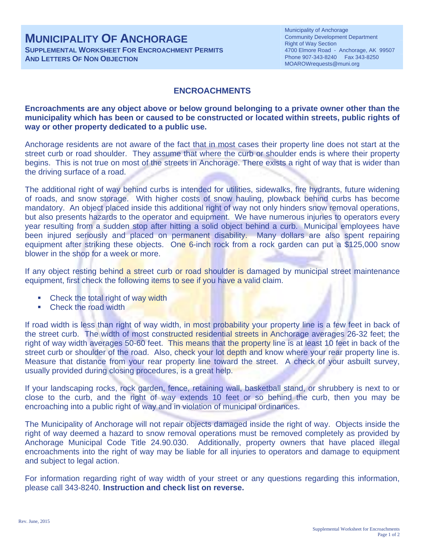## **MUNICIPALITY OF ANCHORAGE SUPPLEMENTAL WORKSHEET FOR ENCROACHMENT PERMITS**

**AND LETTERS OF NON OBJECTION**

Municipality of Anchorage Community Development Department Right of Way Section 4700 Elmore Road - Anchorage, AK 99507 Phone 907-343-8240 Fax 343-8250 MOAROWrequests@muni.org

## **ENCROACHMENTS**

### **Encroachments are any object above or below ground belonging to a private owner other than the municipality which has been or caused to be constructed or located within streets, public rights of way or other property dedicated to a public use.**

Anchorage residents are not aware of the fact that in most cases their property line does not start at the street curb or road shoulder. They assume that where the curb or shoulder ends is where their property begins. This is not true on most of the streets in Anchorage. There exists a right of way that is wider than the driving surface of a road.

The additional right of way behind curbs is intended for utilities, sidewalks, fire hydrants, future widening of roads, and snow storage. With higher costs of snow hauling, plowback behind curbs has become mandatory. An object placed inside this additional right of way not only hinders snow removal operations, but also presents hazards to the operator and equipment. We have numerous injuries to operators every year resulting from a sudden stop after hitting a solid object behind a curb. Municipal employees have been injured seriously and placed on permanent disability. Many dollars are also spent repairing equipment after striking these objects. One 6-inch rock from a rock garden can put a \$125,000 snow blower in the shop for a week or more.

If any object resting behind a street curb or road shoulder is damaged by municipal street maintenance equipment, first check the following items to see if you have a valid claim.

- Check the total right of way width
- Check the road width

If road width is less than right of way width, in most probability your property line is a few feet in back of the street curb. The width of most constructed residential streets in Anchorage averages 26-32 feet; the right of way width averages 50-60 feet. This means that the property line is at least 10 feet in back of the street curb or shoulder of the road. Also, check your lot depth and know where your rear property line is. Measure that distance from your rear property line toward the street. A check of your asbuilt survey, usually provided during closing procedures, is a great help.

If your landscaping rocks, rock garden, fence, retaining wall, basketball stand, or shrubbery is next to or close to the curb, and the right of way extends 10 feet or so behind the curb, then you may be encroaching into a public right of way and in violation of municipal ordinances.

The Municipality of Anchorage will not repair objects damaged inside the right of way. Objects inside the right of way deemed a hazard to snow removal operations must be removed completely as provided by Anchorage Municipal Code Title 24.90.030. Additionally, property owners that have placed illegal encroachments into the right of way may be liable for all injuries to operators and damage to equipment and subject to legal action.

For information regarding right of way width of your street or any questions regarding this information, please call 343-8240. **Instruction and check list on reverse.**